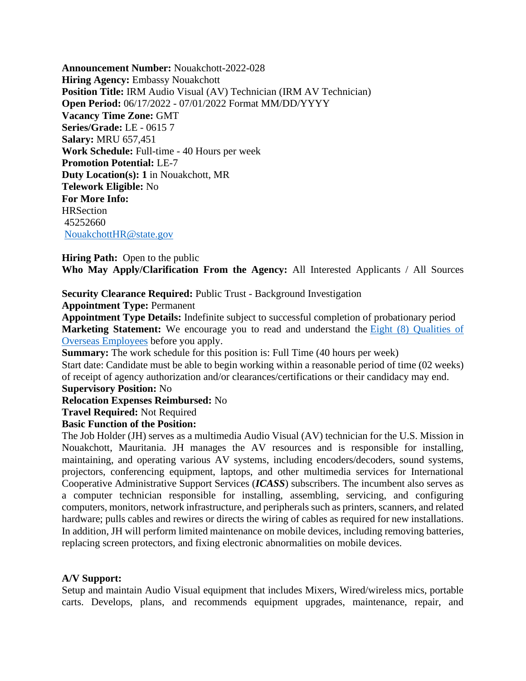**Announcement Number:** Nouakchott-2022-028 **Hiring Agency: Embassy Nouakchott Position Title: IRM Audio Visual (AV) Technician (IRM AV Technician) Open Period:** 06/17/2022 - 07/01/2022 Format MM/DD/YYYY **Vacancy Time Zone:** GMT **Series/Grade:** LE - 0615 7 **Salary:** MRU 657,451 **Work Schedule:** Full-time - 40 Hours per week **Promotion Potential:** LE-7 **Duty Location(s): 1** in Nouakchott, MR **Telework Eligible:** No **For More Info: HRSection** 45252660 [NouakchottHR@state.gov](mailto:NouakchottHR@state.gov)

**Hiring Path:** Open to the public **Who May Apply/Clarification From the Agency:** All Interested Applicants / All Sources

#### **Security Clearance Required:** Public Trust - Background Investigation **Appointment Type:** Permanent

**Appointment Type Details:** Indefinite subject to successful completion of probationary period **Marketing Statement:** We encourage you to read and understand the Eight (8) Qualities of [Overseas Employees](https://careers.state.gov/wp-content/uploads/2018/02/Eight-Qualities-of-Overseas-Employees.pdf) before you apply.

**Summary:** The work schedule for this position is: Full Time (40 hours per week) Start date: Candidate must be able to begin working within a reasonable period of time (02 weeks) of receipt of agency authorization and/or clearances/certifications or their candidacy may end.

### **Supervisory Position:** No

**Relocation Expenses Reimbursed:** No

**Travel Required:** Not Required

#### **Basic Function of the Position:**

The Job Holder (JH) serves as a multimedia Audio Visual (AV) technician for the U.S. Mission in Nouakchott, Mauritania. JH manages the AV resources and is responsible for installing, maintaining, and operating various AV systems, including encoders/decoders, sound systems, projectors, conferencing equipment, laptops, and other multimedia services for International Cooperative Administrative Support Services (*ICASS*) subscribers. The incumbent also serves as a computer technician responsible for installing, assembling, servicing, and configuring computers, monitors, network infrastructure, and peripherals such as printers, scanners, and related hardware; pulls cables and rewires or directs the wiring of cables as required for new installations. In addition, JH will perform limited maintenance on mobile devices, including removing batteries, replacing screen protectors, and fixing electronic abnormalities on mobile devices.

#### **A/V Support:**

Setup and maintain Audio Visual equipment that includes Mixers, Wired/wireless mics, portable carts. Develops, plans, and recommends equipment upgrades, maintenance, repair, and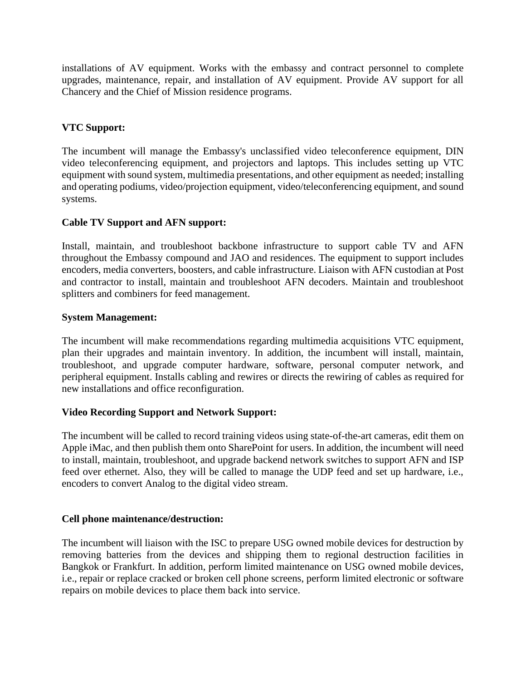installations of AV equipment. Works with the embassy and contract personnel to complete upgrades, maintenance, repair, and installation of AV equipment. Provide AV support for all Chancery and the Chief of Mission residence programs.

# **VTC Support:**

The incumbent will manage the Embassy's unclassified video teleconference equipment, DIN video teleconferencing equipment, and projectors and laptops. This includes setting up VTC equipment with sound system, multimedia presentations, and other equipment as needed; installing and operating podiums, video/projection equipment, video/teleconferencing equipment, and sound systems.

# **Cable TV Support and AFN support:**

Install, maintain, and troubleshoot backbone infrastructure to support cable TV and AFN throughout the Embassy compound and JAO and residences. The equipment to support includes encoders, media converters, boosters, and cable infrastructure. Liaison with AFN custodian at Post and contractor to install, maintain and troubleshoot AFN decoders. Maintain and troubleshoot splitters and combiners for feed management.

# **System Management:**

The incumbent will make recommendations regarding multimedia acquisitions VTC equipment, plan their upgrades and maintain inventory. In addition, the incumbent will install, maintain, troubleshoot, and upgrade computer hardware, software, personal computer network, and peripheral equipment. Installs cabling and rewires or directs the rewiring of cables as required for new installations and office reconfiguration.

# **Video Recording Support and Network Support:**

The incumbent will be called to record training videos using state-of-the-art cameras, edit them on Apple iMac, and then publish them onto SharePoint for users. In addition, the incumbent will need to install, maintain, troubleshoot, and upgrade backend network switches to support AFN and ISP feed over ethernet. Also, they will be called to manage the UDP feed and set up hardware, i.e., encoders to convert Analog to the digital video stream.

# **Cell phone maintenance/destruction:**

The incumbent will liaison with the ISC to prepare USG owned mobile devices for destruction by removing batteries from the devices and shipping them to regional destruction facilities in Bangkok or Frankfurt. In addition, perform limited maintenance on USG owned mobile devices, i.e., repair or replace cracked or broken cell phone screens, perform limited electronic or software repairs on mobile devices to place them back into service.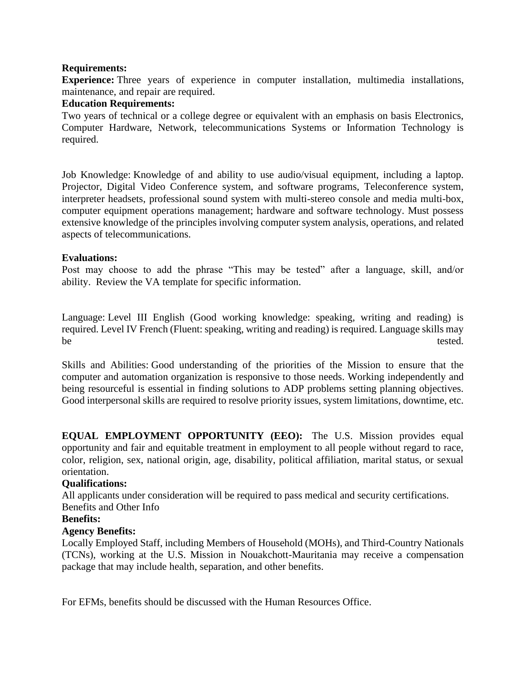### **Requirements:**

**Experience:** Three years of experience in computer installation, multimedia installations, maintenance, and repair are required.

### **Education Requirements:**

Two years of technical or a college degree or equivalent with an emphasis on basis Electronics, Computer Hardware, Network, telecommunications Systems or Information Technology is required.

Job Knowledge: Knowledge of and ability to use audio/visual equipment, including a laptop. Projector, Digital Video Conference system, and software programs, Teleconference system, interpreter headsets, professional sound system with multi-stereo console and media multi-box, computer equipment operations management; hardware and software technology. Must possess extensive knowledge of the principles involving computer system analysis, operations, and related aspects of telecommunications.

### **Evaluations:**

Post may choose to add the phrase "This may be tested" after a language, skill, and/or ability. Review the VA template for specific information.

Language: Level III English (Good working knowledge: speaking, writing and reading) is required. Level IV French (Fluent: speaking, writing and reading) is required. Language skills may be tested.

Skills and Abilities: Good understanding of the priorities of the Mission to ensure that the computer and automation organization is responsive to those needs. Working independently and being resourceful is essential in finding solutions to ADP problems setting planning objectives. Good interpersonal skills are required to resolve priority issues, system limitations, downtime, etc.

**EQUAL EMPLOYMENT OPPORTUNITY (EEO):** The U.S. Mission provides equal opportunity and fair and equitable treatment in employment to all people without regard to race, color, religion, sex, national origin, age, disability, political affiliation, marital status, or sexual orientation.

# **Qualifications:**

All applicants under consideration will be required to pass medical and security certifications. Benefits and Other Info

#### **Benefits:**

# **Agency Benefits:**

Locally Employed Staff, including Members of Household (MOHs), and Third-Country Nationals (TCNs), working at the U.S. Mission in Nouakchott-Mauritania may receive a compensation package that may include health, separation, and other benefits.

For EFMs, benefits should be discussed with the Human Resources Office.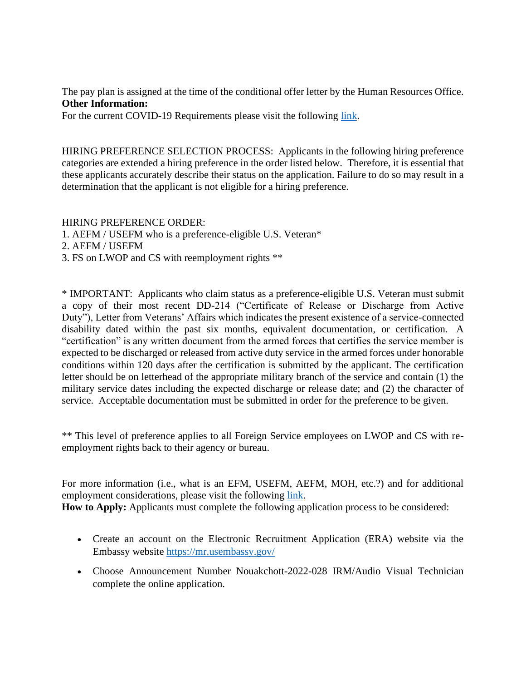The pay plan is assigned at the time of the conditional offer letter by the Human Resources Office. **Other Information:**

For the current COVID-19 Requirements please visit the following [link.](https://careers.state.gov/wp-content/uploads/2022/01/COVID-19-Requirements-for-EFMs.pdf)

HIRING PREFERENCE SELECTION PROCESS: Applicants in the following hiring preference categories are extended a hiring preference in the order listed below. Therefore, it is essential that these applicants accurately describe their status on the application. Failure to do so may result in a determination that the applicant is not eligible for a hiring preference.

HIRING PREFERENCE ORDER:

- 1. AEFM / USEFM who is a preference-eligible U.S. Veteran\*
- 2. AEFM / USEFM
- 3. FS on LWOP and CS with reemployment rights \*\*

\* IMPORTANT: Applicants who claim status as a preference-eligible U.S. Veteran must submit a copy of their most recent DD-214 ("Certificate of Release or Discharge from Active Duty"), Letter from Veterans' Affairs which indicates the present existence of a service-connected disability dated within the past six months, equivalent documentation, or certification. A "certification" is any written document from the armed forces that certifies the service member is expected to be discharged or released from active duty service in the armed forces under honorable conditions within 120 days after the certification is submitted by the applicant. The certification letter should be on letterhead of the appropriate military branch of the service and contain (1) the military service dates including the expected discharge or release date; and (2) the character of service. Acceptable documentation must be submitted in order for the preference to be given.

\*\* This level of preference applies to all Foreign Service employees on LWOP and CS with reemployment rights back to their agency or bureau.

For more information (i.e., what is an EFM, USEFM, AEFM, MOH, etc.?) and for additional employment considerations, please visit the following [link.](https://careers.state.gov/wp-content/uploads/2018/04/VA-Definitions-and-Additional-Employment-Considerations.pdf)

**How to Apply:** Applicants must complete the following application process to be considered:

- Create an account on the Electronic Recruitment Application (ERA) website via the Embassy website <https://mr.usembassy.gov/>
- Choose Announcement Number Nouakchott-2022-028 IRM/Audio Visual Technician complete the online application.